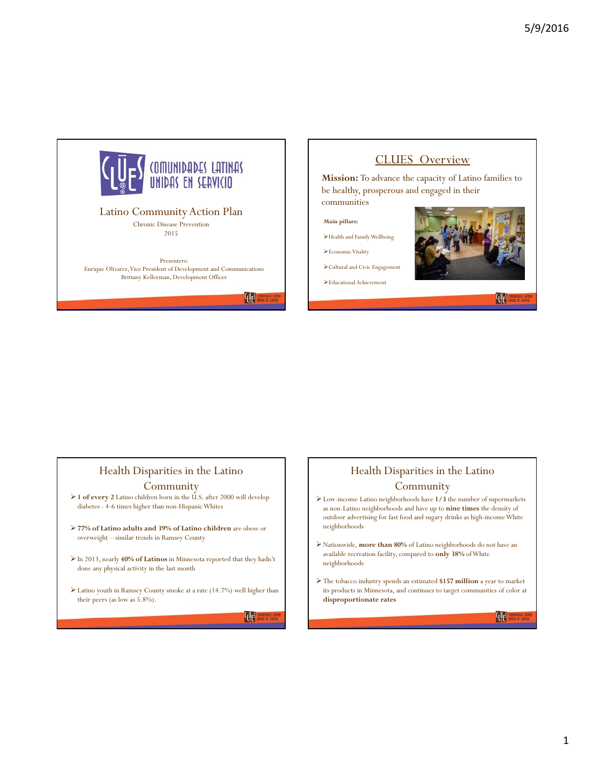

Presenters: Enrique Olivarez, Vice President of Development and Communications Brittany Kellerman, Development Officer

 $\mathcal{H}^{\text{eff}}$ 

## CLUES Overview

**Mission:** To advance the capacity of Latino families to be healthy, prosperous and engaged in their communities

**Main pillars:** 

Health and Family Wellbeing

Economic Vitality

Cultural and Civic Engagement

Educational Achievement



{lles

## Health Disparities in the Latino

#### **Community**

- **1 of every 2** Latino children born in the U.S. after 2000 will develop diabetes - 4-6 times higher than non-Hispanic Whites
- **77% of Latino adults and 39% of Latino children** are obese or overweight – similar trends in Ramsey County
- In 2013, nearly **40% of Latinos** in Minnesota reported that they hadn't done any physical activity in the last month
- Latino youth in Ramsey County smoke at a rate (14.7%) well higher than their peers (as low as 5.8%).

 $\mathbb{Q}^{\mathbb{N}}$ 

## Health Disparities in the Latino

## **Community**

- Low-income Latino neighborhoods have **1/3** the number of supermarkets as non-Latino neighborhoods and have up to **nine times** the density of outdoor advertising for fast food and sugary drinks as high-income White neighborhoods
- Nationwide, **more than 80%** of Latino neighborhoods do not have an available recreation facility, compared to **only 38%** of White neighborhoods
- The tobacco industry spends an estimated **\$157 million** a year to market its products in Minnesota, and continues to target communities of color at **disproportionate rates**

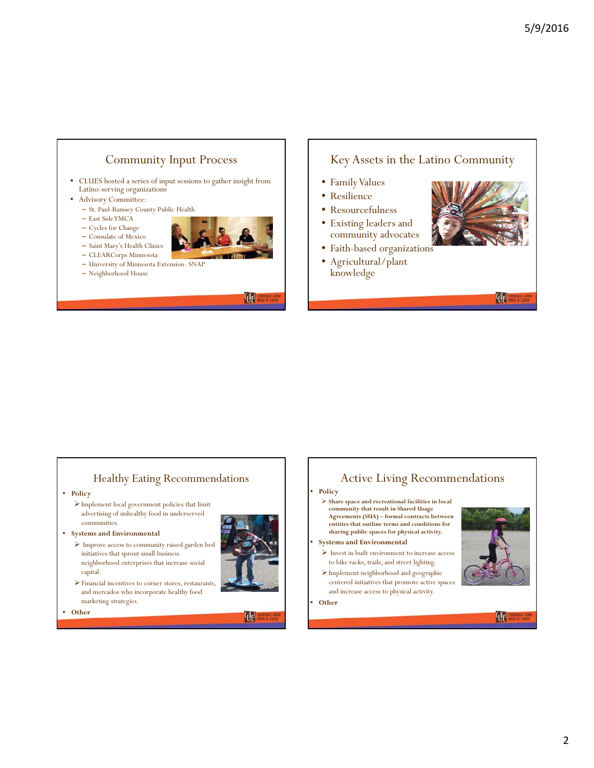

• CLUES hosted a series of input sessions to gather insight from Latino-serving organizations

#### • Advisory Committee:

- St. Paul-Ramsey County Public Health
- $-$  East Side YMCA
- Cycles for Change
- Consulate of Mexico
- Saint Mary's Health Clinics
- CLEARCorps Minnesota
- University of Minnesota Extension- SNAP
- Neighborhood House

qu<sub>e</sub>s

## Key Assets in the Latino Community

- Family Values
- Resilience
- Resourcefulness
- Existing leaders and community advocates
- Faith-based organizations
- Agricultural/plant knowledge



### qu<sub>e</sub>s

## Healthy Eating Recommendations

- **Policy**
	- $\blacktriangleright$  Implement local government policies that limit advertising of unhealthy food in underserved communities.
- **Systems and Environmental**
	- $\blacktriangleright$  Improve access to community raised garden bed initiatives that sprout small business neighborhood enterprises that increase social capital.
- - Financial incentives to corner stores, restaurants, and mercados who incorporate healthy food marketing strategies.

• **Other**



'<sup>{Q</sup>e<sup>s</sup>

# Active Living Recommendations

- **Policy**
	- **Share space and recreational facilities in local community that result in Shared Usage Agreements (SUA) – formal contracts between entities that outline terms and conditions for sharing public spaces for physical activity.**
- **Systems and Environmental**
	- $\triangleright$  Invest in built environment to increase access to bike racks, trails, and street lighting.
	- Implement neighborhood and geographic centered initiatives that promote active spaces and increase access to physical activity.
- **Other**



 $\mathbb{Q}$